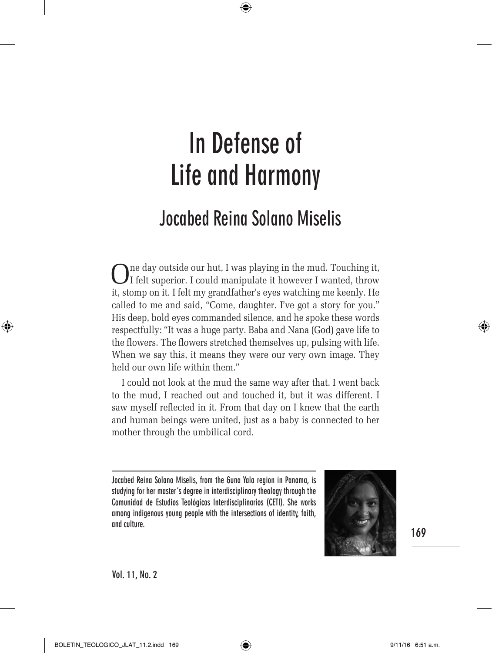⊕

# **Jocabed Reina Solano Miselis**

One day outside our hut, I was playing in the mud. Touching it, I felt superior. I could manipulate it however I wanted, throw it, stomp on it. I felt my grandfather's eyes watching me keenly. He called to me and said, "Come, daughter. I've got a story for you." His deep, bold eyes commanded silence, and he spoke these words respectfully: "It was a huge party. Baba and Nana (God) gave life to the flowers. The flowers stretched themselves up, pulsing with life. When we say this, it means they were our very own image. They held our own life within them."

I could not look at the mud the same way after that. I went back to the mud, I reached out and touched it, but it was different. I saw myself reflected in it. From that day on I knew that the earth and human beings were united, just as a baby is connected to her mother through the umbilical cord.

**Jocabed Reina Solano Miselis, from the Guna Yala region in Panama, is studying for her master's degree in interdisciplinary theology through the Comunidad de Estudios Teológicos Interdisciplinarios (CETI). She works among indigenous young people with the intersections of identity, faith, and culture.**



**169**

⊕

**Vol. 11, No. 2**

BOLETIN\_TEOLOGICO\_JLAT\_11.2.indd 169 (←) (←) company of the 9/11/16 6:51 a.m.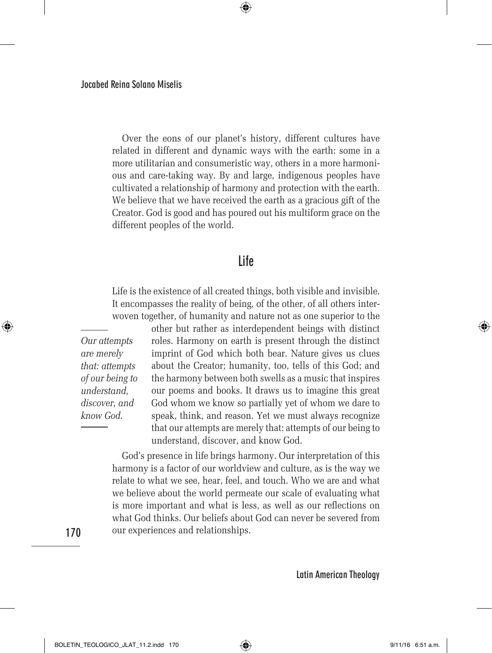Over the eons of our planet's history, different cultures have related in different and dynamic ways with the earth: some in a more utilitarian and consumeristic way, others in a more harmonious and care-taking way. By and large, indigenous peoples have cultivated a relationship of harmony and protection with the earth. We believe that we have received the earth as a gracious gift of the Creator. God is good and has poured out his multiform grace on the different peoples of the world.

 $\bigoplus$ 

# **Life**

Life is the existence of all created things, both visible and invisible. It encompasses the reality of being, of the other, of all others interwoven together, of humanity and nature not as one superior to the

*Our attempts are merely that: attempts of our being to understand, discover, and know God.*

other but rather as interdependent beings with distinct roles. Harmony on earth is present through the distinct imprint of God which both bear. Nature gives us clues about the Creator; humanity, too, tells of this God; and the harmony between both swells as a music that inspires our poems and books. It draws us to imagine this great God whom we know so partially yet of whom we dare to speak, think, and reason. Yet we must always recognize that our attempts are merely that: attempts of our being to understand, discover, and know God.

God's presence in life brings harmony. Our interpretation of this harmony is a factor of our worldview and culture, as is the way we relate to what we see, hear, feel, and touch. Who we are and what we believe about the world permeate our scale of evaluating what is more important and what is less, as well as our reflections on what God thinks. Our beliefs about God can never be severed from our experiences and relationships.

**170**

⊕

**Latin American Theology**

BOLETIN\_TEOLOGICO\_JLAT\_11.2.indd 170 (←) (←) 9/11/16 6:51 a.m.

↔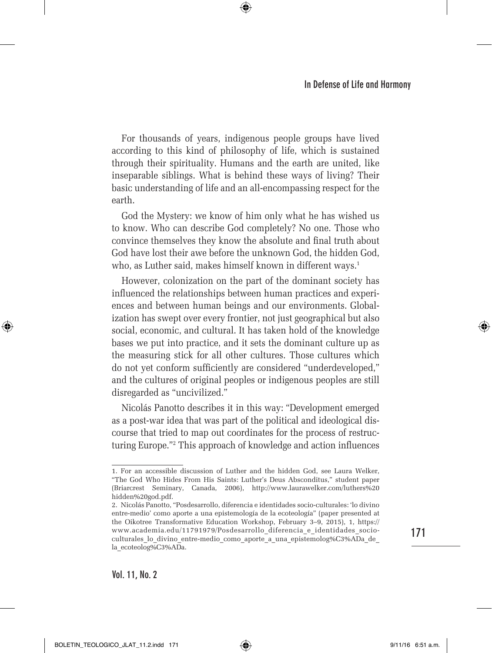For thousands of years, indigenous people groups have lived according to this kind of philosophy of life, which is sustained through their spirituality. Humans and the earth are united, like inseparable siblings. What is behind these ways of living? Their basic understanding of life and an all-encompassing respect for the earth.

⊕

God the Mystery: we know of him only what he has wished us to know. Who can describe God completely? No one. Those who convince themselves they know the absolute and final truth about God have lost their awe before the unknown God, the hidden God, who, as Luther said, makes himself known in different ways.<sup>1</sup>

However, colonization on the part of the dominant society has influenced the relationships between human practices and experiences and between human beings and our environments. Globalization has swept over every frontier, not just geographical but also social, economic, and cultural. It has taken hold of the knowledge bases we put into practice, and it sets the dominant culture up as the measuring stick for all other cultures. Those cultures which do not yet conform sufficiently are considered "underdeveloped," and the cultures of original peoples or indigenous peoples are still disregarded as "uncivilized."

Nicolás Panotto describes it in this way: "Development emerged as a post-war idea that was part of the political and ideological discourse that tried to map out coordinates for the process of restructuring Europe."2 This approach of knowledge and action influences

**Vol. 11, No. 2**

BOLETIN\_TEOLOGICO\_JLAT\_11.2.indd 171 9/11/16 6:51 a.m.

⊕

**171**

⇔

<sup>1.</sup> For an accessible discussion of Luther and the hidden God, see Laura Welker, "The God Who Hides From His Saints: Luther's Deus Absconditus," student paper (Briarcrest Seminary, Canada, 2006), http://www.laurawelker.com/luthers%20 hidden%20god.pdf.

<sup>2.</sup> Nicolás Panotto, "Posdesarrollo, diferencia e identidades socio-culturales: 'lo divino entre-medio' como aporte a una epistemología de la ecoteología" (paper presented at the Oikotree Transformative Education Workshop, February 3–9, 2015), 1, https:// www.academia.edu/11791979/Posdesarrollo\_diferencia\_e\_identidades\_socioculturales\_lo\_divino\_entre-medio\_como\_aporte\_a\_una\_epistemolog%C3%ADa\_de\_ la\_ecoteolog%C3%ADa.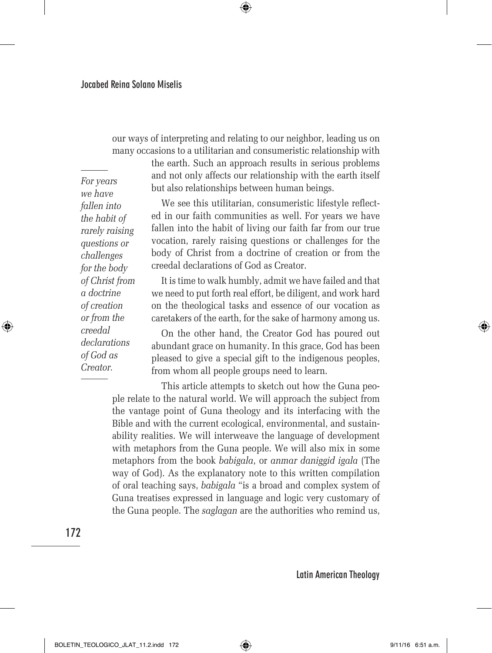our ways of interpreting and relating to our neighbor, leading us on many occasions to a utilitarian and consumeristic relationship with

 $\bigoplus$ 

the earth. Such an approach results in serious problems and not only affects our relationship with the earth itself but also relationships between human beings.

We see this utilitarian, consumeristic lifestyle reflected in our faith communities as well. For years we have fallen into the habit of living our faith far from our true vocation, rarely raising questions or challenges for the body of Christ from a doctrine of creation or from the creedal declarations of God as Creator.

It is time to walk humbly, admit we have failed and that we need to put forth real effort, be diligent, and work hard on the theological tasks and essence of our vocation as caretakers of the earth, for the sake of harmony among us.

On the other hand, the Creator God has poured out abundant grace on humanity. In this grace, God has been pleased to give a special gift to the indigenous peoples, from whom all people groups need to learn.

This article attempts to sketch out how the Guna people relate to the natural world. We will approach the subject from the vantage point of Guna theology and its interfacing with the Bible and with the current ecological, environmental, and sustainability realities. We will interweave the language of development with metaphors from the Guna people. We will also mix in some metaphors from the book *babigala*, or *anmar daniggid igala* (The way of God). As the explanatory note to this written compilation of oral teaching says, *babigala* "is a broad and complex system of Guna treatises expressed in language and logic very customary of the Guna people. The *saglagan* are the authorities who remind us,

**172**

⊕

**Latin American Theology**

⊕

*For years we have fallen into the habit of rarely raising questions or challenges for the body of Christ from a doctrine of creation or from the creedal declarations of God as Creator.*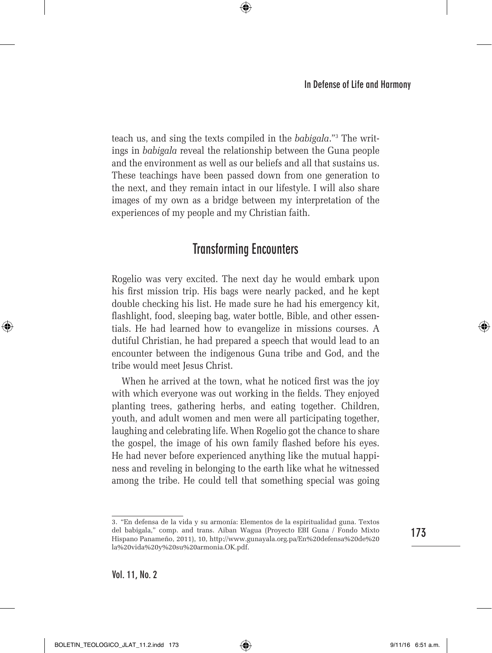teach us, and sing the texts compiled in the *babigala*."3 The writings in *babigala* reveal the relationship between the Guna people and the environment as well as our beliefs and all that sustains us. These teachings have been passed down from one generation to the next, and they remain intact in our lifestyle. I will also share images of my own as a bridge between my interpretation of the experiences of my people and my Christian faith.

⊕

# **Transforming Encounters**

Rogelio was very excited. The next day he would embark upon his first mission trip. His bags were nearly packed, and he kept double checking his list. He made sure he had his emergency kit, flashlight, food, sleeping bag, water bottle, Bible, and other essentials. He had learned how to evangelize in missions courses. A dutiful Christian, he had prepared a speech that would lead to an encounter between the indigenous Guna tribe and God, and the tribe would meet Jesus Christ.

When he arrived at the town, what he noticed first was the joy with which everyone was out working in the fields. They enjoyed planting trees, gathering herbs, and eating together. Children, youth, and adult women and men were all participating together, laughing and celebrating life. When Rogelio got the chance to share the gospel, the image of his own family flashed before his eyes. He had never before experienced anything like the mutual happiness and reveling in belonging to the earth like what he witnessed among the tribe. He could tell that something special was going

**173**

⊕

<sup>3.</sup> "En defensa de la vida y su armonía: Elementos de la espiritualidad guna. Textos del babigala," comp. and trans. Aiban Wagua (Proyecto EBI Guna / Fondo Mixto Hispano Panameño, 2011), 10, http://www.gunayala.org.pa/En%20defensa%20de%20 la%20vida%20y%20su%20armonia.OK.pdf.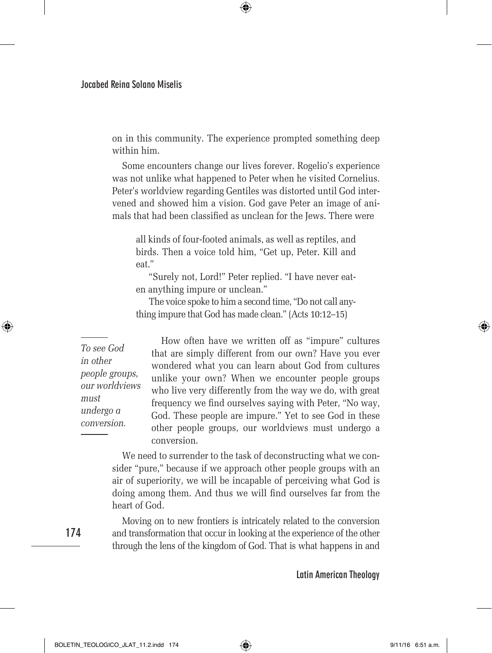on in this community. The experience prompted something deep within him.

⊕

Some encounters change our lives forever. Rogelio's experience was not unlike what happened to Peter when he visited Cornelius. Peter's worldview regarding Gentiles was distorted until God intervened and showed him a vision. God gave Peter an image of animals that had been classified as unclean for the Jews. There were

all kinds of four-footed animals, as well as reptiles, and birds. Then a voice told him, "Get up, Peter. Kill and eat."

"Surely not, Lord!" Peter replied. "I have never eaten anything impure or unclean."

The voice spoke to him a second time, "Do not call anything impure that God has made clean." (Acts 10:12–15)

*To see God in other people groups, our worldviews must undergo a conversion.*

How often have we written off as "impure" cultures that are simply different from our own? Have you ever wondered what you can learn about God from cultures unlike your own? When we encounter people groups who live very differently from the way we do, with great frequency we find ourselves saying with Peter, "No way, God. These people are impure." Yet to see God in these other people groups, our worldviews must undergo a conversion.

We need to surrender to the task of deconstructing what we consider "pure," because if we approach other people groups with an air of superiority, we will be incapable of perceiving what God is doing among them. And thus we will find ourselves far from the heart of God.

Moving on to new frontiers is intricately related to the conversion and transformation that occur in looking at the experience of the other through the lens of the kingdom of God. That is what happens in and

**Latin American Theology**

**174**

⊕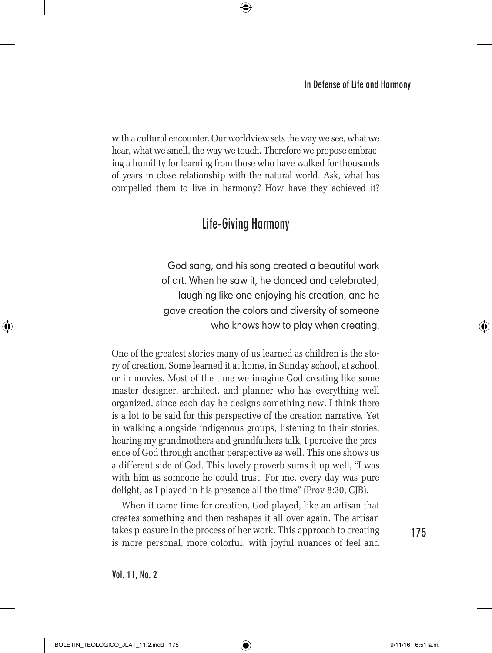with a cultural encounter. Our worldview sets the way we see, what we hear, what we smell, the way we touch. Therefore we propose embracing a humility for learning from those who have walked for thousands of years in close relationship with the natural world. Ask, what has compelled them to live in harmony? How have they achieved it?

 $\bigoplus$ 

# **Life-Giving Harmony**

God sang, and his song created a beautiful work of art. When he saw it, he danced and celebrated, laughing like one enjoying his creation, and he gave creation the colors and diversity of someone who knows how to play when creating.

One of the greatest stories many of us learned as children is the story of creation. Some learned it at home, in Sunday school, at school, or in movies. Most of the time we imagine God creating like some master designer, architect, and planner who has everything well organized, since each day he designs something new. I think there is a lot to be said for this perspective of the creation narrative. Yet in walking alongside indigenous groups, listening to their stories, hearing my grandmothers and grandfathers talk, I perceive the presence of God through another perspective as well. This one shows us a different side of God. This lovely proverb sums it up well, "I was with him as someone he could trust. For me, every day was pure delight, as I played in his presence all the time" (Prov 8:30, CJB).

When it came time for creation, God played, like an artisan that creates something and then reshapes it all over again. The artisan takes pleasure in the process of her work. This approach to creating is more personal, more colorful; with joyful nuances of feel and

**175**

⊕

**Vol. 11, No. 2**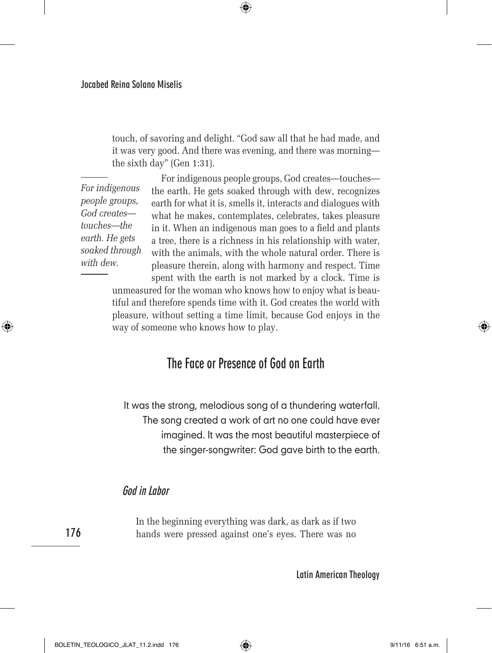touch, of savoring and delight. "God saw all that he had made, and it was very good. And there was evening, and there was morning the sixth day" (Gen 1:31).

⊕

*For indigenous people groups, God creates touches—the earth. He gets soaked through with dew.*

For indigenous people groups, God creates—touches the earth. He gets soaked through with dew, recognizes earth for what it is, smells it, interacts and dialogues with what he makes, contemplates, celebrates, takes pleasure in it. When an indigenous man goes to a field and plants a tree, there is a richness in his relationship with water, with the animals, with the whole natural order. There is pleasure therein, along with harmony and respect. Time spent with the earth is not marked by a clock. Time is

unmeasured for the woman who knows how to enjoy what is beautiful and therefore spends time with it. God creates the world with pleasure, without setting a time limit, because God enjoys in the way of someone who knows how to play.

### **The Face or Presence of God on Earth**

It was the strong, melodious song of a thundering waterfall. The song created a work of art no one could have ever imagined. It was the most beautiful masterpiece of the singer-songwriter: God gave birth to the earth.

#### **God in Labor**

**176**

⊕

In the beginning everything was dark, as dark as if two hands were pressed against one's eyes. There was no

**Latin American Theology**

BOLETIN\_TEOLOGICO\_JLAT\_11.2.indd 176 9/11/16 6:51 a.m.

↔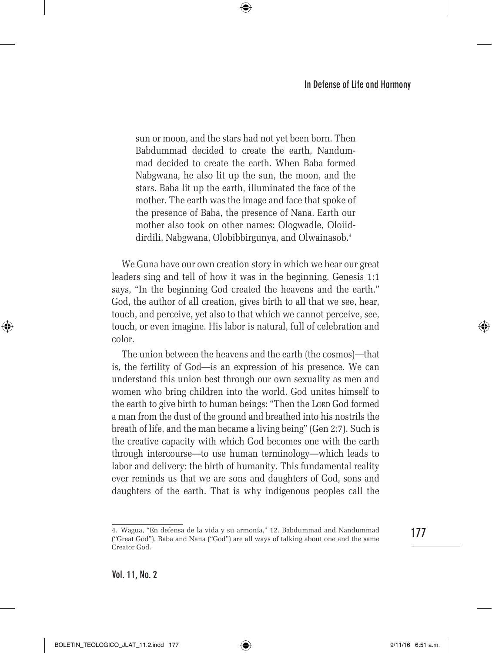sun or moon, and the stars had not yet been born. Then Babdummad decided to create the earth, Nandummad decided to create the earth. When Baba formed Nabgwana, he also lit up the sun, the moon, and the stars. Baba lit up the earth, illuminated the face of the mother. The earth was the image and face that spoke of the presence of Baba, the presence of Nana. Earth our mother also took on other names: Ologwadle, Oloiiddirdili, Nabgwana, Olobibbirgunya, and Olwainasob.4

⊕

We Guna have our own creation story in which we hear our great leaders sing and tell of how it was in the beginning. Genesis 1:1 says, "In the beginning God created the heavens and the earth." God, the author of all creation, gives birth to all that we see, hear, touch, and perceive, yet also to that which we cannot perceive, see, touch, or even imagine. His labor is natural, full of celebration and color.

The union between the heavens and the earth (the cosmos)—that is, the fertility of God—is an expression of his presence. We can understand this union best through our own sexuality as men and women who bring children into the world. God unites himself to the earth to give birth to human beings: "Then the Lorp God formed a man from the dust of the ground and breathed into his nostrils the breath of life, and the man became a living being" (Gen 2:7). Such is the creative capacity with which God becomes one with the earth through intercourse—to use human terminology—which leads to labor and delivery: the birth of humanity. This fundamental reality ever reminds us that we are sons and daughters of God, sons and daughters of the earth. That is why indigenous peoples call the

**177**

⊕

**Vol. 11, No. 2**

<sup>4.</sup> Wagua, "En defensa de la vida y su armonía," 12. Babdummad and Nandummad ("Great God"), Baba and Nana ("God") are all ways of talking about one and the same Creator God.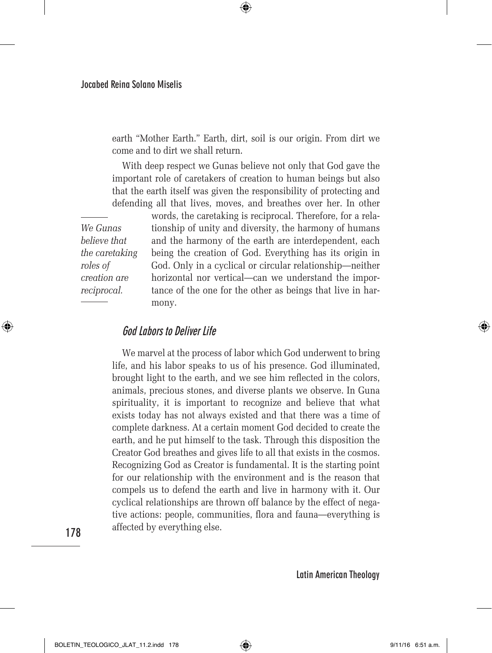earth "Mother Earth." Earth, dirt, soil is our origin. From dirt we come and to dirt we shall return.

⊕

With deep respect we Gunas believe not only that God gave the important role of caretakers of creation to human beings but also that the earth itself was given the responsibility of protecting and defending all that lives, moves, and breathes over her. In other

*We Gunas believe that the caretaking roles of creation are reciprocal.*

words, the caretaking is reciprocal. Therefore, for a relationship of unity and diversity, the harmony of humans and the harmony of the earth are interdependent, each being the creation of God. Everything has its origin in God. Only in a cyclical or circular relationship—neither horizontal nor vertical—can we understand the importance of the one for the other as beings that live in harmony.

#### **God Labors to Deliver Life**

We marvel at the process of labor which God underwent to bring life, and his labor speaks to us of his presence. God illuminated, brought light to the earth, and we see him reflected in the colors, animals, precious stones, and diverse plants we observe. In Guna spirituality, it is important to recognize and believe that what exists today has not always existed and that there was a time of complete darkness. At a certain moment God decided to create the earth, and he put himself to the task. Through this disposition the Creator God breathes and gives life to all that exists in the cosmos. Recognizing God as Creator is fundamental. It is the starting point for our relationship with the environment and is the reason that compels us to defend the earth and live in harmony with it. Our cyclical relationships are thrown off balance by the effect of negative actions: people, communities, flora and fauna—everything is affected by everything else.

**178**

⊕

**Latin American Theology**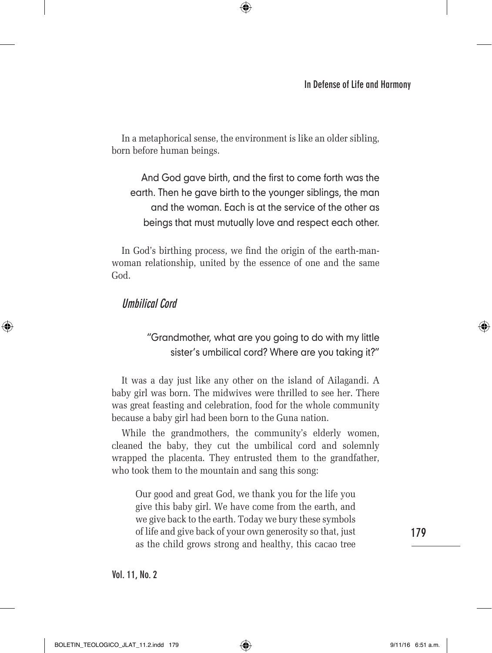In a metaphorical sense, the environment is like an older sibling, born before human beings.

⊕

And God gave birth, and the first to come forth was the earth. Then he gave birth to the younger siblings, the man and the woman. Each is at the service of the other as beings that must mutually love and respect each other.

In God's birthing process, we find the origin of the earth-manwoman relationship, united by the essence of one and the same God.

#### **Umbilical Cord**

⊕

#### "Grandmother, what are you going to do with my little sister's umbilical cord? Where are you taking it?"

It was a day just like any other on the island of Ailagandi. A baby girl was born. The midwives were thrilled to see her. There was great feasting and celebration, food for the whole community because a baby girl had been born to the Guna nation.

While the grandmothers, the community's elderly women, cleaned the baby, they cut the umbilical cord and solemnly wrapped the placenta. They entrusted them to the grandfather, who took them to the mountain and sang this song:

Our good and great God, we thank you for the life you give this baby girl. We have come from the earth, and we give back to the earth. Today we bury these symbols of life and give back of your own generosity so that, just as the child grows strong and healthy, this cacao tree

**179**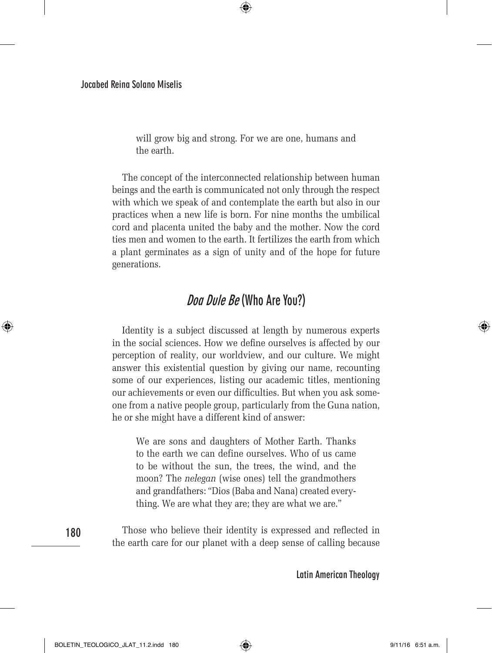will grow big and strong. For we are one, humans and the earth.

⊕

The concept of the interconnected relationship between human beings and the earth is communicated not only through the respect with which we speak of and contemplate the earth but also in our practices when a new life is born. For nine months the umbilical cord and placenta united the baby and the mother. Now the cord ties men and women to the earth. It fertilizes the earth from which a plant germinates as a sign of unity and of the hope for future generations.

# **Doa Dule Be (Who Are You?)**

Identity is a subject discussed at length by numerous experts in the social sciences. How we define ourselves is affected by our perception of reality, our worldview, and our culture. We might answer this existential question by giving our name, recounting some of our experiences, listing our academic titles, mentioning our achievements or even our difficulties. But when you ask someone from a native people group, particularly from the Guna nation, he or she might have a different kind of answer:

We are sons and daughters of Mother Earth. Thanks to the earth we can define ourselves. Who of us came to be without the sun, the trees, the wind, and the moon? The *nelegan* (wise ones) tell the grandmothers and grandfathers: "Dios (Baba and Nana) created everything. We are what they are; they are what we are."

**180**

⊕

Those who believe their identity is expressed and reflected in the earth care for our planet with a deep sense of calling because

**Latin American Theology**

BOLETIN\_TEOLOGICO\_JLAT\_11.2.indd 180 (←) (←) 9/11/16 6:51 a.m.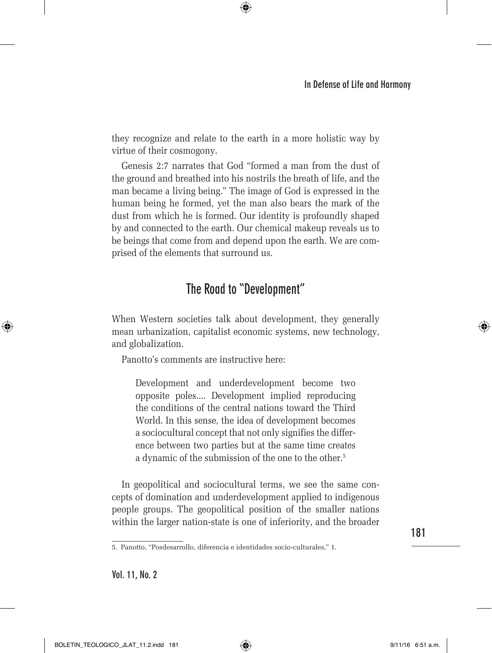they recognize and relate to the earth in a more holistic way by virtue of their cosmogony.

⊕

Genesis 2:7 narrates that God "formed a man from the dust of the ground and breathed into his nostrils the breath of life, and the man became a living being." The image of God is expressed in the human being he formed, yet the man also bears the mark of the dust from which he is formed. Our identity is profoundly shaped by and connected to the earth. Our chemical makeup reveals us to be beings that come from and depend upon the earth. We are comprised of the elements that surround us.

# **The Road to "Development"**

When Western societies talk about development, they generally mean urbanization, capitalist economic systems, new technology, and globalization.

Panotto's comments are instructive here:

Development and underdevelopment become two opposite poles.... Development implied reproducing the conditions of the central nations toward the Third World. In this sense, the idea of development becomes a sociocultural concept that not only signifies the difference between two parties but at the same time creates a dynamic of the submission of the one to the other.<sup>5</sup>

In geopolitical and sociocultural terms, we see the same concepts of domination and underdevelopment applied to indigenous people groups. The geopolitical position of the smaller nations within the larger nation-state is one of inferiority, and the broader ↔

<sup>5.</sup> Panotto, "Posdesarrollo, diferencia e identidades socio-culturales," 1.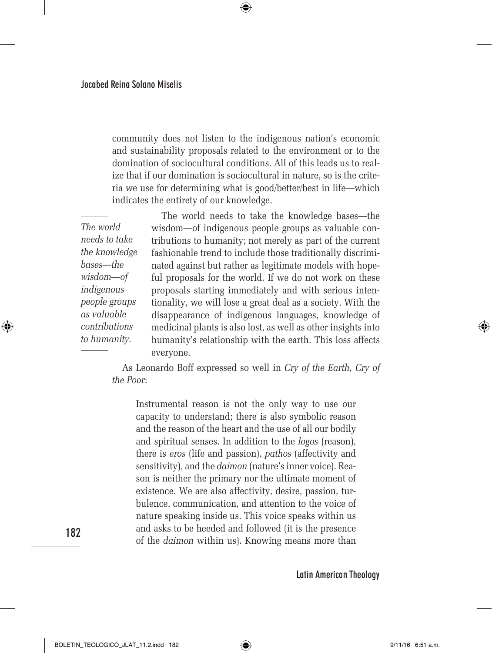community does not listen to the indigenous nation's economic and sustainability proposals related to the environment or to the domination of sociocultural conditions. All of this leads us to realize that if our domination is sociocultural in nature, so is the criteria we use for determining what is good/better/best in life—which indicates the entirety of our knowledge.

 $\bigoplus$ 

*The world needs to take the knowledge bases—the wisdom—of indigenous people groups as valuable contributions to humanity.*

The world needs to take the knowledge bases—the wisdom—of indigenous people groups as valuable contributions to humanity; not merely as part of the current fashionable trend to include those traditionally discriminated against but rather as legitimate models with hopeful proposals for the world. If we do not work on these proposals starting immediately and with serious intentionality, we will lose a great deal as a society. With the disappearance of indigenous languages, knowledge of medicinal plants is also lost, as well as other insights into humanity's relationship with the earth. This loss affects everyone.

As Leonardo Boff expressed so well in *Cry of the Earth, Cry of the Poor*:

Instrumental reason is not the only way to use our capacity to understand; there is also symbolic reason and the reason of the heart and the use of all our bodily and spiritual senses. In addition to the *logos* (reason), there is *eros* (life and passion), *pathos* (affectivity and sensitivity), and the *daimon* (nature's inner voice). Reason is neither the primary nor the ultimate moment of existence. We are also affectivity, desire, passion, turbulence, communication, and attention to the voice of nature speaking inside us. This voice speaks within us and asks to be heeded and followed (it is the presence of the *daimon* within us). Knowing means more than

**Latin American Theology**

**182**

⊕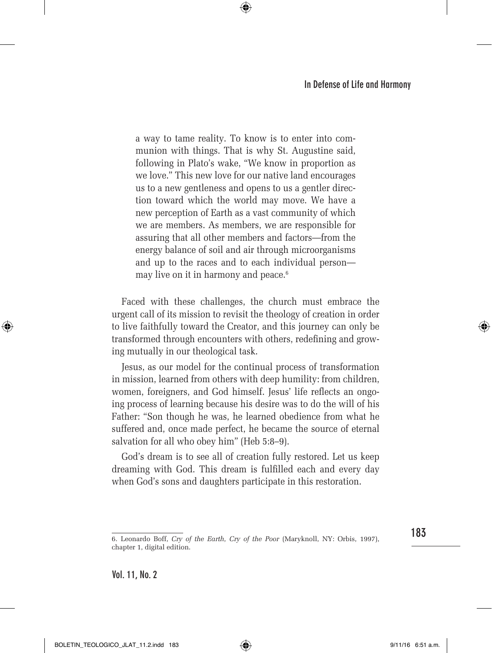a way to tame reality. To know is to enter into communion with things. That is why St. Augustine said, following in Plato's wake, "We know in proportion as we love." This new love for our native land encourages us to a new gentleness and opens to us a gentler direction toward which the world may move. We have a new perception of Earth as a vast community of which we are members. As members, we are responsible for assuring that all other members and factors—from the energy balance of soil and air through microorganisms and up to the races and to each individual person may live on it in harmony and peace.<sup>6</sup>

⊕

Faced with these challenges, the church must embrace the urgent call of its mission to revisit the theology of creation in order to live faithfully toward the Creator, and this journey can only be transformed through encounters with others, redefining and growing mutually in our theological task.

Jesus, as our model for the continual process of transformation in mission, learned from others with deep humility: from children, women, foreigners, and God himself. Jesus' life reflects an ongoing process of learning because his desire was to do the will of his Father: "Son though he was, he learned obedience from what he suffered and, once made perfect, he became the source of eternal salvation for all who obey him" (Heb 5:8–9).

God's dream is to see all of creation fully restored. Let us keep dreaming with God. This dream is fulfilled each and every day when God's sons and daughters participate in this restoration.

**183**

⊕

**Vol. 11, No. 2**

BOLETIN\_TEOLOGICO\_JLAT\_11.2.indd 183 9/11/16 6:51 a.m.

<sup>6.</sup> Leonardo Boff, *Cry of the Earth, Cry of the Poor* (Maryknoll, NY: Orbis, 1997), chapter 1, digital edition.